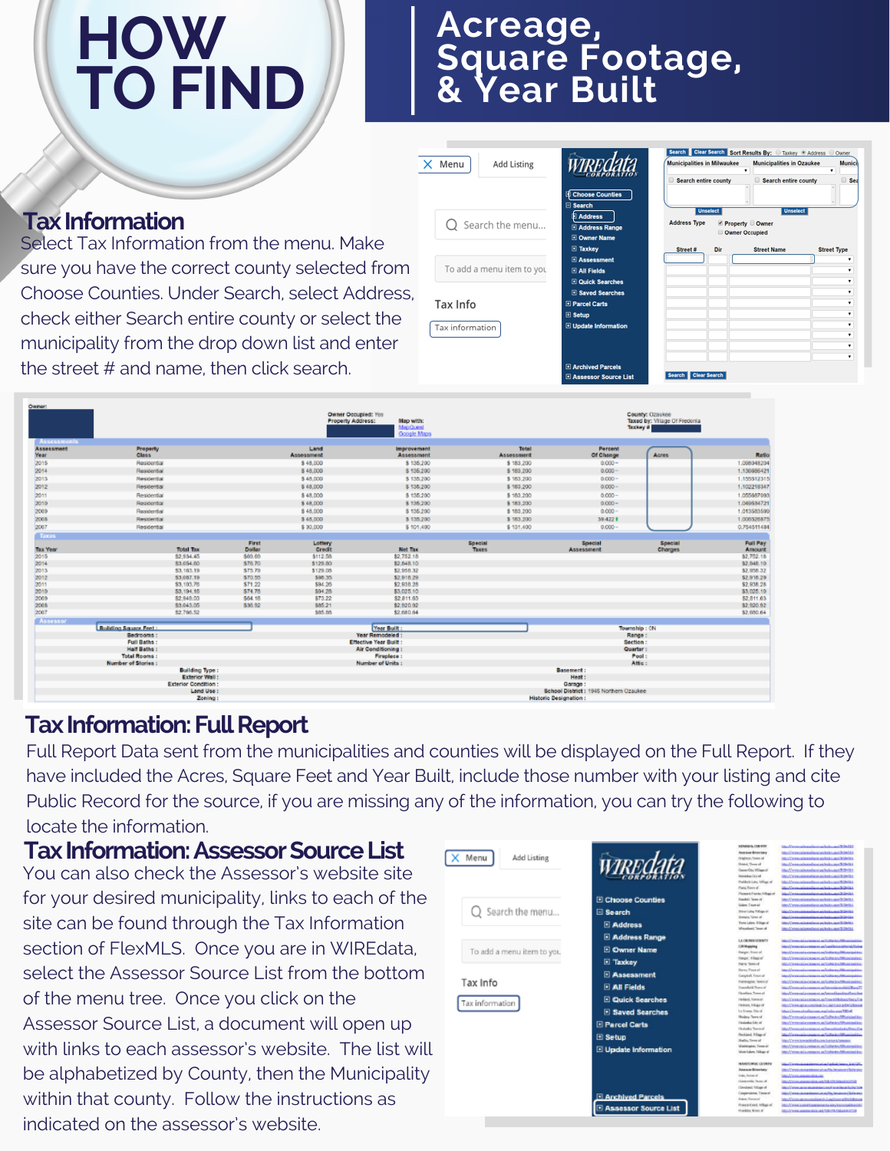# **HOW TO FIND**

## **Acreage, Square Footage, & Year Built**

|                                                                                                                                                     | $\times$ Menu<br><b>Add Listing</b>                      | <b>Choose Counties</b>                                                                                                                                                         | <b>Clear Search Sort Results By: ID Taxkey ID Address ID Owner</b><br><b>Municipalities in Milwaukee</b><br><b>Municipalities in Ozaukee</b><br>Search entire county<br>Search entire county | Munic              |
|-----------------------------------------------------------------------------------------------------------------------------------------------------|----------------------------------------------------------|--------------------------------------------------------------------------------------------------------------------------------------------------------------------------------|----------------------------------------------------------------------------------------------------------------------------------------------------------------------------------------------|--------------------|
| <b>Tax Information</b><br>Select Tax Information from the menu. Make                                                                                | Search the menu                                          | Search<br>Address<br><b>El Address Range</b><br><b>D</b> Owner Name<br>$\Box$ Taxkey                                                                                           | <b>Unselect</b><br><b>Unselec</b><br><b>Address</b><br>Owner<br><b>Owner Occupied</b><br><b>Street Name</b><br>Street #<br>Dir                                                               | <b>Street Type</b> |
| sure you have the correct county selected from<br>Choose Counties. Under Search, select Address,<br>check either Search entire county or select the | To add a menu item to you<br>Tax Info<br>Tax information | <b>E</b> Assessment<br><b>E All Fields</b><br><b>D</b> Quick Searches<br><b>E</b> Saved Searches<br><b>El Parcel Carts</b><br>$\boxplus$ Setup<br><b>El Update Information</b> |                                                                                                                                                                                              |                    |
| municipality from the drop down list and enter<br>the street # and name, then click search.                                                         |                                                          | Archived Parcels<br><b>BARBAROT SOUTCE List</b>                                                                                                                                | <b>Clear Search</b>                                                                                                                                                                          |                    |

| Owner:                    |                              |                            |                 |                    | Owner Occupied: Yes<br>Map with:<br>Property Address:<br>MapQuest<br>Google Maps |                         |                                        | County: Ozaukee<br>Taxed by: Vilage Of Fredoria<br>Taxkey # |                           |
|---------------------------|------------------------------|----------------------------|-----------------|--------------------|----------------------------------------------------------------------------------|-------------------------|----------------------------------------|-------------------------------------------------------------|---------------------------|
| <b>Assessments</b>        |                              |                            |                 |                    |                                                                                  |                         |                                        |                                                             |                           |
| <b>Assessment</b><br>Year | Property<br><b>Class</b>     |                            |                 | Land<br>Assessment | Improvement<br>Assessment                                                        | Total<br>Assessment     | Percent<br>Of Change                   | Agres                                                       | <b>Ratk</b>               |
| 2015                      | Residential                  |                            |                 | \$48,000           | \$135,200                                                                        | \$183,200               | $0.000 -$                              |                                                             | 1.09804820                |
| 2014                      | Residential                  |                            |                 | \$48,000           | \$135,200                                                                        | \$183,200               | $0.000 -$                              |                                                             | 1.136886421               |
| 2013                      | Residential                  |                            |                 | \$48,000           | \$135,200                                                                        | \$ 183,200              | $0.000 -$                              |                                                             | 1.155512313               |
| 2012                      | Residental                   |                            |                 | \$48,000           | \$135,200                                                                        | \$183,200               | $0.000 -$                              |                                                             | 1.102218347               |
|                           |                              |                            |                 |                    |                                                                                  |                         |                                        |                                                             |                           |
| 2011                      | Residential                  |                            |                 | \$48,000           | \$135,200                                                                        | \$183,200               | $0.000 -$                              |                                                             | 1.05568709                |
| 2010                      | Residential                  |                            |                 | \$48,000           | \$135,200                                                                        | \$183,200               | $0.000 -$                              |                                                             | 1.049534721               |
| 2009                      | Residential                  |                            |                 | \$48,000           | \$135,200                                                                        | \$ 183,200              | $0.000 -$                              |                                                             | 1.01358350                |
| 2008                      | Residential                  |                            |                 | \$48,000           | \$135,200                                                                        | \$183,200               | 39.422 f                               |                                                             | 1.00652687                |
| 2007                      | Residental                   |                            |                 | \$30,000           | \$101,400                                                                        | \$131,400               | $0.000 -$                              |                                                             | 0.75451148                |
| Toxas                     |                              |                            |                 |                    |                                                                                  |                         |                                        |                                                             |                           |
| <b>Tax Year</b>           |                              | <b>Total Tax</b>           | First<br>Dollar | Lottery<br>Credit  | <b>Net Tax</b>                                                                   | Special<br><b>Taxes</b> | Special<br><b>Assessment</b>           | Special<br><b>Charges</b>                                   | <b>Full Pay</b><br>Amount |
| 2015                      |                              | \$2,934.45                 | \$69.69         | \$112.58           | \$2,752.18                                                                       |                         |                                        |                                                             | \$2,752.18                |
| 2014                      |                              | \$3,054.60                 | \$76.70         | \$129.80           | \$2,848.10                                                                       |                         |                                        |                                                             | \$2,848.10                |
| 2013                      |                              | 53, 163, 19                | \$75.79         | \$129.08           | \$2,958.32                                                                       |                         |                                        |                                                             | \$2,958.32                |
| 2012                      |                              | \$3,067.19                 | \$70.55         | \$96.35            | \$2,918.29                                                                       |                         |                                        |                                                             | \$2,918.29                |
| 2011                      |                              | \$3,103.76                 | \$71.22         | \$94.26            | \$2,938.28                                                                       |                         |                                        |                                                             | \$2,938.28                |
| 2010                      |                              | 53, 194, 16                | \$74.78         | \$94.25            | \$3,025.10                                                                       |                         |                                        |                                                             | \$3,025.10                |
| 2009                      |                              | \$2,949.03                 | \$64.18         | \$73.22            | \$2,811.63                                                                       |                         |                                        |                                                             | \$2,811.63                |
| 2008                      |                              | \$3,043.05                 | \$35.92         | \$85.21            | \$2,620.92                                                                       |                         |                                        |                                                             | \$2,920.92                |
| 2007                      |                              | \$2,766.52                 |                 | \$85.68            | \$2,680.64                                                                       |                         |                                        |                                                             | \$2,680.64                |
| Assessor                  |                              |                            |                 |                    |                                                                                  |                         |                                        |                                                             |                           |
|                           | <b>Building Square Feet:</b> |                            |                 |                    | Year Built:                                                                      |                         |                                        | Township: ON                                                |                           |
|                           | Bedrooms:                    |                            |                 |                    | Year Remodeled:                                                                  |                         |                                        | Range:                                                      |                           |
|                           | Full Baths:                  |                            |                 |                    | <b>Effective Year Built:</b>                                                     |                         |                                        | Section:                                                    |                           |
|                           | Half Baths :                 |                            |                 |                    | Air Conditioning                                                                 |                         |                                        | Quarter:                                                    |                           |
|                           | <b>Total Rooms:</b>          |                            |                 |                    | Fireplace:                                                                       |                         |                                        | Pool:                                                       |                           |
|                           | Number of Stories :          | <b>Building Type:</b>      |                 |                    | Number of Units:                                                                 |                         | Basement:                              | Attic:                                                      |                           |
|                           |                              | <b>Exterior Wall:</b>      |                 |                    |                                                                                  |                         | Heat:                                  |                                                             |                           |
|                           |                              | <b>Exterior Condition:</b> |                 |                    |                                                                                  |                         | Garage:                                |                                                             |                           |
|                           |                              | Land Use :                 |                 |                    |                                                                                  |                         | School District: 1945 Northern Ozaukee |                                                             |                           |
|                           |                              | Zoning:                    |                 |                    |                                                                                  |                         | <b>Historic Designation:</b>           |                                                             |                           |
|                           |                              |                            |                 |                    |                                                                                  |                         |                                        |                                                             |                           |

### **Tax Information: Full Report**

Full Report Data sent from the municipalities and counties will be displayed on the Full Report. If they have included the Acres, Square Feet and Year Built, include those number with your listing and cite Public Record for the source, if you are missing any of the information, you can try the following to locate the information.

### **TaxInformation:AssessorSourceList**

You can also check the Assessor's website site for your desired municipality, links to each of the site can be found through the Tax Information section of FlexMLS. Once you are in WIREdata, select the Assessor Source List from the bottom of the menu tree. Once you click on the Assessor Source List, a document will open up with links to each assessor's website. The list will be alphabetized by County, then the Municipality within that county. Follow the instructions as indicated on the assessor's website.

|                            |                               | <b><i>VENDIDA CIRCOST</i></b>              | 15-Mercedezenhamischen und 20-210                                                                   |
|----------------------------|-------------------------------|--------------------------------------------|-----------------------------------------------------------------------------------------------------|
|                            |                               | Animal Browser                             | MacConsulessite Autobiological District                                                             |
| Menu<br><b>Add Listing</b> |                               | <b>Printman Town of</b>                    | Machinesa alemana e astronomica de provi-                                                           |
|                            | WIREAS                        | Stated, Town of                            | Moddersonhorshanianholoane/339464                                                                   |
|                            |                               | Gene Gly, Wilson's                         | High Vermonia media standards and \$10-914.                                                         |
|                            |                               | <b>Newshalizzed</b>                        | Manufacturers and an annual party of the American                                                   |
|                            |                               | <b>Problem Lake Millage of</b>             | Michlenwoodsmithswize/information/ED014                                                             |
|                            |                               | <b>Plants, Stavin all</b>                  | <b>Andrew Henrich Adams - 1984</b>                                                                  |
|                            |                               | Pleasent Franks, Village of                | <b>Manufacture of the American State Avenue of Contract</b>                                         |
|                            | <b>El Choose Counties</b>     | Rendell Teres of                           | https://www.calicerolization/index.april@Def8.1                                                     |
|                            |                               | <b>Galera Times ad</b>                     | Mechanical contrast as below and Detta                                                              |
| ○ Search the menu          | □ Search                      | Sheer Lake, Nillage of                     | <b>Man Common Associates and Asia agent 2 Decade</b>                                                |
|                            |                               | Sewers, Tyres of                           | descriptions advanced and and advanced to the Child                                                 |
|                            | <b>El Address</b>             | Twin Labor. It liam of                     | Mec//www.unicensitenstan/exist.applicities.                                                         |
|                            |                               | Westman's Texas of                         | Man A' amas cal annoù a sa c'hole super St Derik (                                                  |
|                            | <b>El Address Range</b>       |                                            |                                                                                                     |
|                            |                               | LA CRONA COUNTY                            | <b>Man Communication and an Indian And International Property</b>                                   |
| To add a menu item to you  | <b>El Owner Name</b>          | <b>CRNspolas</b>                           | https://www.caria.composition/Landingsode/artist/Enter                                              |
|                            |                               | tharger, financial<br><b>Hauer, Hisard</b> | impo/classical a communical/finite-to-filtram-to-inte-                                              |
|                            | <b>El Taxkey</b>              | <b>Harry Store of</b>                      | <b>Includes collections and the culture of the Collection</b><br>McMataugiacause a/100x15/2020/2021 |
|                            |                               | Harna, Tinen of                            | banders and a companion between this presenting                                                     |
|                            | Assessment                    | Garginal, Town of                          | important consideration and the brand distance in this area                                         |
|                            |                               | <b>Harmisoner, Newman</b>                  | <b>INVESTIGATION AND RESISTANCES</b>                                                                |
| Tax Info                   | <b>ELAIL Fields</b>           | Gambid Sweet                               | MacAlessovala consum and associate and side Toyott                                                  |
|                            |                               | Headley Street                             | MacMeronal accessor adveraging the floor for                                                        |
|                            | <b>El Quick Searches</b>      | Heiland, Toma of                           | MacAfanna cala contacts and participate that Africa Car                                             |
| Tax information            |                               | Holmes, Village of                         | Machinese and confession refragants in the                                                          |
|                            | E Saved Searches              | La Bosse, Die-A                            | Man Depended and a participant West                                                                 |
|                            |                               | Medera Terra of                            | May Yerresola connect an United to Mitsubal Re-                                                     |
|                            | <b>El Parcel Carts</b>        | Chalanka City of                           | May Virginia Lawrence an Gallery Wilson Indian                                                      |
|                            |                               | <b>Cashedon Traversell</b>                 | MacMennical assessor in Necessian Industrial Regular                                                |
|                            |                               | Recklend, Willage of                       | <b>Michael Annual Accessor and Industry Microsoft Ave</b>                                           |
|                            | $E$ Setup                     | Shalley, Tayward                           | Mac/Yern/smarkfallscom/cartes/amount                                                                |
|                            |                               | <b>Visitoune, Texa at</b>                  | Inc.//www.mix.common.us/informs/Africanshire.                                                       |
|                            | <b>E</b> Update Information   | West Labos, 19 East of                     | the Abraham Lorenton an Collected Minister Little                                                   |
|                            |                               | <b>MARINHALL CORNER</b>                    |                                                                                                     |
|                            |                               | American Elizabeth                         | the Constitution of a fishmound late and                                                            |
|                            |                               | GAL Several                                | Man Views and and shot car                                                                          |
|                            |                               | Generate News of                           | <b>Residence assessments and third threat control</b>                                               |
|                            |                               | Clevdared Village of                       | Man Thomas against the program complete the product of the Table                                    |
|                            | Anchived Parcels              | Conseniens, Time of                        | http://www.astuaniamscut.as/lac/asatumckale.asc                                                     |
|                            |                               | <b>Hara Ferrier</b>                        | Mary Markets approximately and in August to an Antibiotic August                                    |
|                            | <b>E Assessor Source List</b> | Praises Coast, Millage of                  | Into Alexanded Edmonton Concerts and Bandary                                                        |
|                            |                               | Franklin, Town of                          | MELATEN ASSESSED AND HATCH MALE EXPLO                                                               |